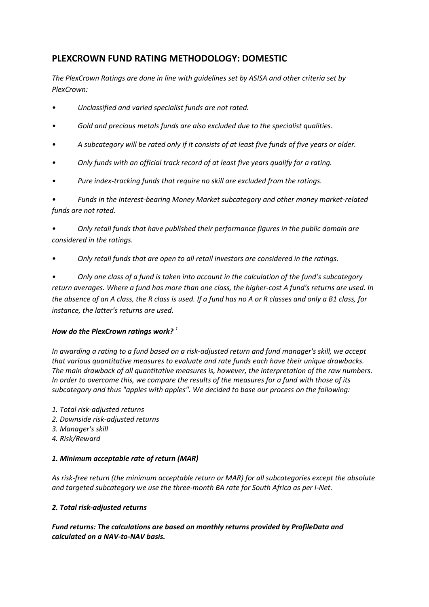# **PLEXCROWN FUND RATING METHODOLOGY: DOMESTIC**

*The PlexCrown Ratings are done in line with guidelines set by ASISA and other criteria set by PlexCrown:*

- *• Unclassified and varied specialist funds are not rated.*
- *• Gold and precious metals funds are also excluded due to the specialist qualities.*
- *• A subcategory will be rated only if it consists of at least five funds of five years or older.*
- *• Only funds with an official track record of at least five years qualify for a rating.*
- *• Pure index-tracking funds that require no skill are excluded from the ratings.*

*• Funds in the Interest-bearing Money Market subcategory and other money market-related funds are not rated.*

*• Only retail funds that have published their performance figures in the public domain are considered in the ratings.*

*• Only retail funds that are open to all retail investors are considered in the ratings.*

*• Only one class of a fund is taken into account in the calculation of the fund's subcategory return averages. Where a fund has more than one class, the higher-cost A fund's returns are used. In the absence of an A class, the R class is used. If a fund has no A or R classes and only a B1 class, for instance, the latter's returns are used.* 

## *How do the PlexCrown ratings work? <sup>1</sup>*

*In awarding a rating to a fund based on a risk-adjusted return and fund manager's skill, we accept that various quantitative measures to evaluate and rate funds each have their unique drawbacks. The main drawback of all quantitative measures is, however, the interpretation of the raw numbers. In order to overcome this, we compare the results of the measures for a fund with those of its subcategory and thus "apples with apples". We decided to base our process on the following:*

- *1. Total risk-adjusted returns*
- *2. Downside risk-adjusted returns*
- *3. Manager's skill*
- *4. Risk/Reward*

## *1. Minimum acceptable rate of return (MAR)*

*As risk-free return (the minimum acceptable return or MAR) for all subcategories except the absolute and targeted subcategory we use the three-month BA rate for South Africa as per I-Net.*

## *2. Total risk-adjusted returns*

*Fund returns: The calculations are based on monthly returns provided by ProfileData and calculated on a NAV-to-NAV basis.*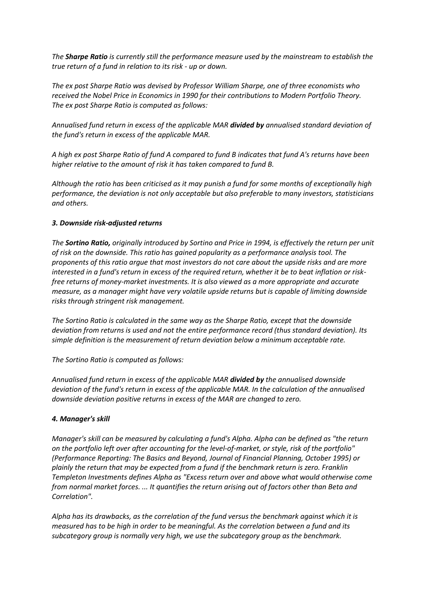*The Sharpe Ratio is currently still the performance measure used by the mainstream to establish the true return of a fund in relation to its risk - up or down.*

*The ex post Sharpe Ratio was devised by Professor William Sharpe, one of three economists who received the Nobel Price in Economics in 1990 for their contributions to Modern Portfolio Theory. The ex post Sharpe Ratio is computed as follows:*

*Annualised fund return in excess of the applicable MAR divided by annualised standard deviation of the fund's return in excess of the applicable MAR.*

*A high ex post Sharpe Ratio of fund A compared to fund B indicates that fund A's returns have been higher relative to the amount of risk it has taken compared to fund B.*

*Although the ratio has been criticised as it may punish a fund for some months of exceptionally high performance, the deviation is not only acceptable but also preferable to many investors, statisticians and others.*

#### *3. Downside risk-adjusted returns*

*The Sortino Ratio, originally introduced by Sortino and Price in 1994, is effectively the return per unit of risk on the downside. This ratio has gained popularity as a performance analysis tool. The proponents of this ratio argue that most investors do not care about the upside risks and are more interested in a fund's return in excess of the required return, whether it be to beat inflation or riskfree returns of money-market investments. It is also viewed as a more appropriate and accurate measure, as a manager might have very volatile upside returns but is capable of limiting downside risks through stringent risk management.*

*The Sortino Ratio is calculated in the same way as the Sharpe Ratio, except that the downside deviation from returns is used and not the entire performance record (thus standard deviation). Its simple definition is the measurement of return deviation below a minimum acceptable rate.*

*The Sortino Ratio is computed as follows:*

*Annualised fund return in excess of the applicable MAR divided by the annualised downside deviation of the fund's return in excess of the applicable MAR. In the calculation of the annualised downside deviation positive returns in excess of the MAR are changed to zero.*

#### *4. Manager's skill*

*Manager's skill can be measured by calculating a fund's Alpha. Alpha can be defined as "the return on the portfolio left over after accounting for the level-of-market, or style, risk of the portfolio" (Performance Reporting: The Basics and Beyond, Journal of Financial Planning, October 1995) or plainly the return that may be expected from a fund if the benchmark return is zero. Franklin Templeton Investments defines Alpha as "Excess return over and above what would otherwise come from normal market forces. ... It quantifies the return arising out of factors other than Beta and Correlation".*

*Alpha has its drawbacks, as the correlation of the fund versus the benchmark against which it is measured has to be high in order to be meaningful. As the correlation between a fund and its subcategory group is normally very high, we use the subcategory group as the benchmark.*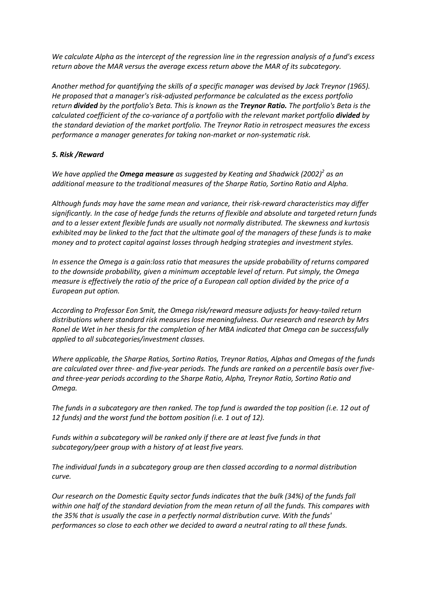*We calculate Alpha as the intercept of the regression line in the regression analysis of a fund's excess return above the MAR versus the average excess return above the MAR of its subcategory.*

*Another method for quantifying the skills of a specific manager was devised by Jack Treynor (1965). He proposed that a manager's risk-adjusted performance be calculated as the excess portfolio return divided by the portfolio's Beta. This is known as the Treynor Ratio. The portfolio's Beta is the calculated coefficient of the co-variance of a portfolio with the relevant market portfolio divided by the standard deviation of the market portfolio. The Treynor Ratio in retrospect measures the excess performance a manager generates for taking non-market or non-systematic risk.*

#### *5. Risk /Reward*

*We have applied the Omega measure as suggested by Keating and Shadwick (2002)<sup>2</sup> as an additional measure to the traditional measures of the Sharpe Ratio, Sortino Ratio and Alpha.*

*Although funds may have the same mean and variance, their risk-reward characteristics may differ significantly. In the case of hedge funds the returns of flexible and absolute and targeted return funds and to a lesser extent flexible funds are usually not normally distributed. The skewness and kurtosis exhibited may be linked to the fact that the ultimate goal of the managers of these funds is to make money and to protect capital against losses through hedging strategies and investment styles.*

*In essence the Omega is a gain:loss ratio that measures the upside probability of returns compared to the downside probability, given a minimum acceptable level of return. Put simply, the Omega measure is effectively the ratio of the price of a European call option divided by the price of a European put option.*

*According to Professor Eon Smit, the Omega risk/reward measure adjusts for heavy-tailed return distributions where standard risk measures lose meaningfulness. Our research and research by Mrs Ronel de Wet in her thesis for the completion of her MBA indicated that Omega can be successfully applied to all subcategories/investment classes.*

*Where applicable, the Sharpe Ratios, Sortino Ratios, Treynor Ratios, Alphas and Omegas of the funds are calculated over three- and five-year periods. The funds are ranked on a percentile basis over fiveand three-year periods according to the Sharpe Ratio, Alpha, Treynor Ratio, Sortino Ratio and Omega.*

*The funds in a subcategory are then ranked. The top fund is awarded the top position (i.e. 12 out of 12 funds) and the worst fund the bottom position (i.e. 1 out of 12).*

*Funds within a subcategory will be ranked only if there are at least five funds in that subcategory/peer group with a history of at least five years.*

*The individual funds in a subcategory group are then classed according to a normal distribution curve.*

*Our research on the Domestic Equity sector funds indicates that the bulk (34%) of the funds fall within one half of the standard deviation from the mean return of all the funds. This compares with the 35% that is usually the case in a perfectly normal distribution curve. With the funds' performances so close to each other we decided to award a neutral rating to all these funds.*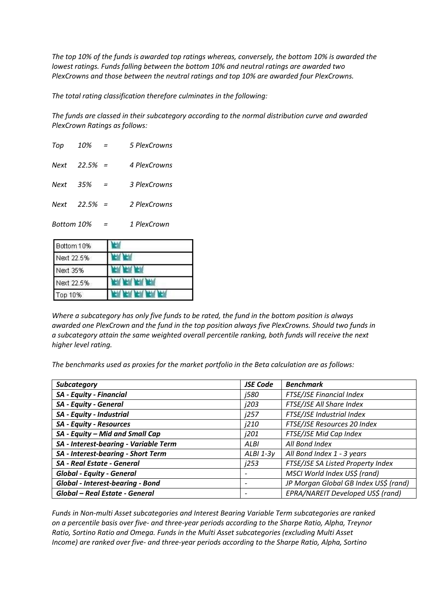*The top 10% of the funds is awarded top ratings whereas, conversely, the bottom 10% is awarded the lowest ratings. Funds falling between the bottom 10% and neutral ratings are awarded two PlexCrowns and those between the neutral ratings and top 10% are awarded four PlexCrowns.*

*The total rating classification therefore culminates in the following:* 

*The funds are classed in their subcategory according to the normal distribution curve and awarded PlexCrown Ratings as follows:*

| Top        | 10%       | $=$ | 5 PlexCrowns |
|------------|-----------|-----|--------------|
| Next       | $22.5% =$ |     | 4 PlexCrowns |
| Next       | 35%       | $=$ | 3 PlexCrowns |
| Next       | $22.5% =$ |     | 2 PlexCrowns |
| Bottom 10% |           |     | 1 PlexCrown  |

| Bottom 10%      |  |
|-----------------|--|
| Next 22.5%      |  |
| <b>Next 35%</b> |  |
| Next 22.5%      |  |
| Top 10%         |  |

*Where a subcategory has only five funds to be rated, the fund in the bottom position is always awarded one PlexCrown and the fund in the top position always five PlexCrowns. Should two funds in a subcategory attain the same weighted overall percentile ranking, both funds will receive the next higher level rating.*

*The benchmarks used as proxies for the market portfolio in the Beta calculation are as follows:*

| <b>Subcategory</b>                      | <b>JSE Code</b>          | <b>Benchmark</b>                      |  |  |
|-----------------------------------------|--------------------------|---------------------------------------|--|--|
| <b>SA - Equity - Financial</b>          | <i>1580</i>              | <b>FTSE/JSE Financial Index</b>       |  |  |
| SA - Equity - General                   | j203                     | FTSE/JSE All Share Index              |  |  |
| SA - Equity - Industrial                | i257                     | FTSE/JSE Industrial Index             |  |  |
| <b>SA - Equity - Resources</b>          | j210                     | FTSE/JSE Resources 20 Index           |  |  |
| SA - Equity - Mid and Small Cap         | <i>i</i> 201             | FTSE/JSE Mid Cap Index                |  |  |
| SA - Interest-bearing - Variable Term   | ALBI                     | All Bond Index                        |  |  |
| SA - Interest-bearing - Short Term      | $ALBI$ 1-3 $v$           | All Bond Index 1 - 3 years            |  |  |
| <b>SA - Real Estate - General</b>       | <i>i</i> 253             | FTSE/JSE SA Listed Property Index     |  |  |
| <b>Global - Equity - General</b>        | -                        | MSCI World Index US\$ (rand)          |  |  |
| <b>Global - Interest-bearing - Bond</b> | $\overline{\phantom{a}}$ | JP Morgan Global GB Index US\$ (rand) |  |  |
| Global - Real Estate - General          | $\overline{\phantom{a}}$ | EPRA/NAREIT Developed US\$ (rand)     |  |  |

*Funds in Non-multi Asset subcategories and Interest Bearing Variable Term subcategories are ranked on a percentile basis over five- and three-year periods according to the Sharpe Ratio, Alpha, Treynor Ratio, Sortino Ratio and Omega. Funds in the Multi Asset subcategories (excluding Multi Asset Income) are ranked over five- and three-year periods according to the Sharpe Ratio, Alpha, Sortino*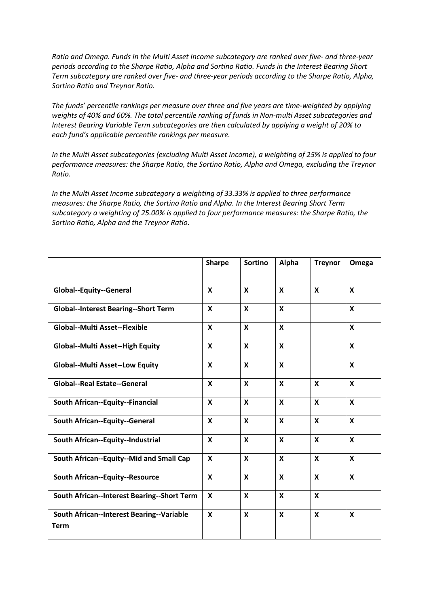*Ratio and Omega. Funds in the Multi Asset Income subcategory are ranked over five- and three-year periods according to the Sharpe Ratio, Alpha and Sortino Ratio. Funds in the Interest Bearing Short Term subcategory are ranked over five- and three-year periods according to the Sharpe Ratio, Alpha, Sortino Ratio and Treynor Ratio.*

*The funds' percentile rankings per measure over three and five years are time-weighted by applying weights of 40% and 60%. The total percentile ranking of funds in Non-multi Asset subcategories and Interest Bearing Variable Term subcategories are then calculated by applying a weight of 20% to each fund's applicable percentile rankings per measure.* 

*In the Multi Asset subcategories (excluding Multi Asset Income), a weighting of 25% is applied to four performance measures: the Sharpe Ratio, the Sortino Ratio, Alpha and Omega, excluding the Treynor Ratio.* 

*In the Multi Asset Income subcategory a weighting of 33.33% is applied to three performance measures: the Sharpe Ratio, the Sortino Ratio and Alpha. In the Interest Bearing Short Term subcategory a weighting of 25.00% is applied to four performance measures: the Sharpe Ratio, the Sortino Ratio, Alpha and the Treynor Ratio.*

|                                                          | <b>Sharpe</b>             | Sortino                   | Alpha                     | <b>Treynor</b>            | Omega                     |
|----------------------------------------------------------|---------------------------|---------------------------|---------------------------|---------------------------|---------------------------|
| Global--Equity--General                                  | X                         | $\boldsymbol{x}$          | $\boldsymbol{x}$          | $\boldsymbol{\mathsf{x}}$ | $\boldsymbol{\mathsf{x}}$ |
| <b>Global--Interest Bearing--Short Term</b>              | $\mathbf{x}$              | $\mathbf{x}$              | $\boldsymbol{x}$          |                           | $\mathbf x$               |
| <b>Global--Multi Asset--Flexible</b>                     | $\boldsymbol{\mathsf{x}}$ | $\boldsymbol{\mathsf{x}}$ | $\boldsymbol{\mathsf{x}}$ |                           | $\boldsymbol{\mathsf{x}}$ |
| <b>Global--Multi Asset--High Equity</b>                  | $\boldsymbol{\mathsf{x}}$ | $\boldsymbol{x}$          | $\boldsymbol{\mathsf{x}}$ |                           | $\boldsymbol{\mathsf{x}}$ |
| <b>Global--Multi Asset--Low Equity</b>                   | $\boldsymbol{\mathsf{x}}$ | $\boldsymbol{x}$          | $\boldsymbol{x}$          |                           | $\mathbf x$               |
| <b>Global--Real Estate--General</b>                      | $\mathbf{x}$              | $\boldsymbol{x}$          | $\boldsymbol{\mathsf{x}}$ | $\boldsymbol{x}$          | $\boldsymbol{\mathsf{x}}$ |
| South African--Equity--Financial                         | X                         | $\boldsymbol{x}$          | $\boldsymbol{\mathsf{x}}$ | X                         | $\boldsymbol{x}$          |
| South African--Equity--General                           | $\boldsymbol{\mathsf{x}}$ | $\boldsymbol{x}$          | $\boldsymbol{\mathsf{x}}$ | $\boldsymbol{\mathsf{x}}$ | $\mathbf x$               |
| South African--Equity--Industrial                        | X                         | $\boldsymbol{x}$          | $\boldsymbol{\mathsf{x}}$ | X                         | $\boldsymbol{x}$          |
| South African--Equity--Mid and Small Cap                 | $\boldsymbol{x}$          | $\boldsymbol{x}$          | X                         | X                         | $\boldsymbol{\mathsf{x}}$ |
| <b>South African--Equity--Resource</b>                   | $\boldsymbol{\mathsf{x}}$ | $\boldsymbol{x}$          | X                         | X                         | $\boldsymbol{x}$          |
| South African--Interest Bearing--Short Term              | $\boldsymbol{\mathsf{x}}$ | $\boldsymbol{\mathsf{x}}$ | $\boldsymbol{\mathsf{x}}$ | $\boldsymbol{\mathsf{x}}$ |                           |
| South African--Interest Bearing--Variable<br><b>Term</b> | X                         | $\boldsymbol{\mathsf{x}}$ | X                         | X                         | X                         |